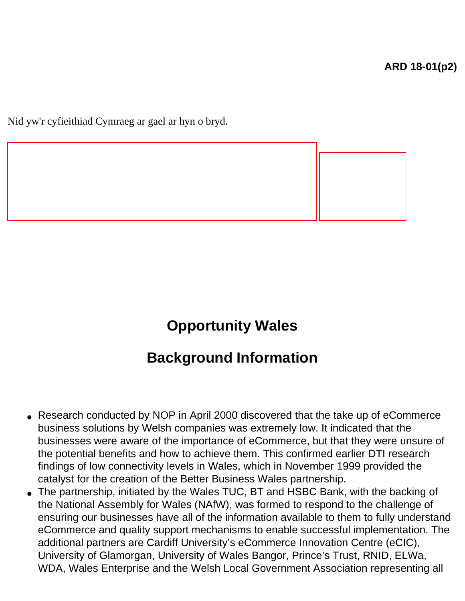Nid yw'r cyfieithiad Cymraeg ar gael ar hyn o bryd.

## **Opportunity Wales**

## **Background Information**

- Research conducted by NOP in April 2000 discovered that the take up of eCommerce business solutions by Welsh companies was extremely low. It indicated that the businesses were aware of the importance of eCommerce, but that they were unsure of the potential benefits and how to achieve them. This confirmed earlier DTI research findings of low connectivity levels in Wales, which in November 1999 provided the catalyst for the creation of the Better Business Wales partnership.
- The partnership, initiated by the Wales TUC, BT and HSBC Bank, with the backing of the National Assembly for Wales (NAfW), was formed to respond to the challenge of ensuring our businesses have all of the information available to them to fully understand eCommerce and quality support mechanisms to enable successful implementation. The additional partners are Cardiff University's eCommerce Innovation Centre (eCIC), University of Glamorgan, University of Wales Bangor, Prince's Trust, RNID, ELWa, WDA, Wales Enterprise and the Welsh Local Government Association representing all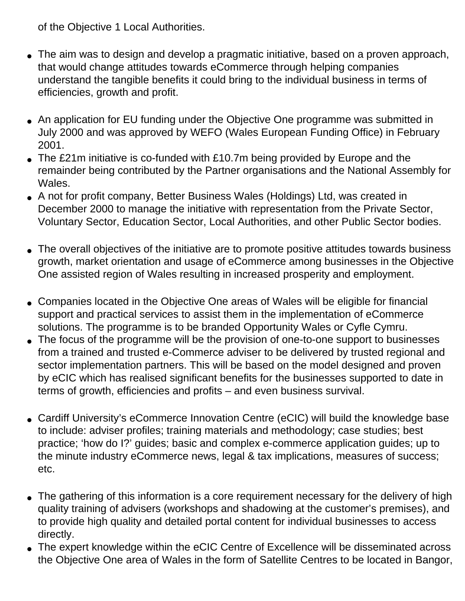of the Objective 1 Local Authorities.

- The aim was to design and develop a pragmatic initiative, based on a proven approach, that would change attitudes towards eCommerce through helping companies understand the tangible benefits it could bring to the individual business in terms of efficiencies, growth and profit.
- An application for EU funding under the Objective One programme was submitted in July 2000 and was approved by WEFO (Wales European Funding Office) in February 2001.
- The £21m initiative is co-funded with £10.7m being provided by Europe and the remainder being contributed by the Partner organisations and the National Assembly for Wales.
- A not for profit company, Better Business Wales (Holdings) Ltd, was created in December 2000 to manage the initiative with representation from the Private Sector, Voluntary Sector, Education Sector, Local Authorities, and other Public Sector bodies.
- The overall objectives of the initiative are to promote positive attitudes towards business growth, market orientation and usage of eCommerce among businesses in the Objective One assisted region of Wales resulting in increased prosperity and employment.
- Companies located in the Objective One areas of Wales will be eligible for financial support and practical services to assist them in the implementation of eCommerce solutions. The programme is to be branded Opportunity Wales or Cyfle Cymru.
- The focus of the programme will be the provision of one-to-one support to businesses from a trained and trusted e-Commerce adviser to be delivered by trusted regional and sector implementation partners. This will be based on the model designed and proven by eCIC which has realised significant benefits for the businesses supported to date in terms of growth, efficiencies and profits – and even business survival.
- Cardiff University's eCommerce Innovation Centre (eCIC) will build the knowledge base to include: adviser profiles; training materials and methodology; case studies; best practice; 'how do I?' guides; basic and complex e-commerce application guides; up to the minute industry eCommerce news, legal & tax implications, measures of success; etc.
- The gathering of this information is a core requirement necessary for the delivery of high quality training of advisers (workshops and shadowing at the customer's premises), and to provide high quality and detailed portal content for individual businesses to access directly.
- The expert knowledge within the eCIC Centre of Excellence will be disseminated across the Objective One area of Wales in the form of Satellite Centres to be located in Bangor,